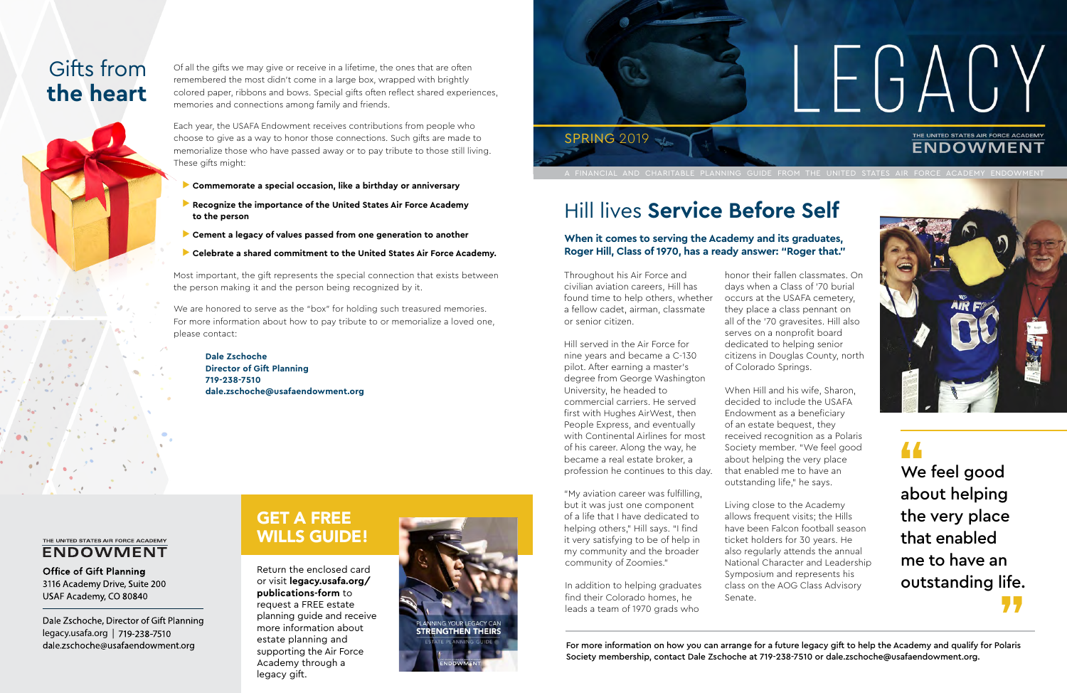Throughout his Air Force and civilian aviation careers, Hill has found time to help others, whether a fellow cadet, airman, classmate or senior citizen.

Hill served in the Air Force for nine years and became a C-130 pilot. After earning a master's degree from George Washington University, he headed to commercial carriers. He served first with Hughes AirWest, then People Express, and eventually with Continental Airlines for most of his career. Along the way, he became a real estate broker, a profession he continues to this day.

"My aviation career was fulfilling, but it was just one component of a life that I have dedicated to helping others," Hill says. "I find it very satisfying to be of help in my community and the broader community of Zoomies."

In addition to helping graduates find their Colorado homes, he leads a team of 1970 grads who

honor their fallen classmates. On days when a Class of '70 burial occurs at the USAFA cemetery, they place a class pennant on all of the '70 gravesites. Hill also serves on a nonprofit board dedicated to helping senior citizens in Douglas County, north of Colorado Springs.

> **44**<br>
> We<br>
> abd י<br>ife.<br>**77** We feel good about helping the very place that enabled me to have an outstanding life.

When Hill and his wife, Sharon, decided to include the USAFA Endowment as a beneficiary of an estate bequest, they received recognition as a Polaris Society member. "We feel good about helping the very place that enabled me to have an outstanding life," he says.

Living close to the Academy allows frequent visits; the Hills have been Falcon football season ticket holders for 30 years. He also regularly attends the annual National Character and Leadership Symposium and represents his class on the AOG Class Advisory Senate.

## Hill lives **Service Before Self**

We are honored to serve as the "box" for holding such treasured memories. For more information about how to pay tribute to or memorialize a loved one, please contact:

### GET A FREE WILLS GUIDE!

Return the enclosed card or visit **legacy.usafa.org/ publications-form** to request a FREE estate planning guide and receive more information about estate planning and supporting the Air Force Academy through a legacy gift.



For more information on how you can arrange for a future legacy gift to help the Academy and qualify for Polaris Society membership, contact Dale Zschoche at 719-238-7510 or dale.zschoche@usafaendowment.org.

# LEGACY THE UNITED STATES AIR FORCE ACADEMY **ENDOWMENT**

. FINANCIAL AND CHARITABLE PLANNING GUIDE FROM THE UNITED STATES AIR FORCE ACADEMY ENDOWMEN



## Gifts from **the heart**

#### **When it comes to serving the Academy and its graduates, Roger Hill, Class of 1970, has a ready answer: "Roger that."**



Of all the gifts we may give or receive in a lifetime, the ones that are often remembered the most didn't come in a large box, wrapped with brightly colored paper, ribbons and bows. Special gifts often reflect shared experiences, memories and connections among family and friends.

Each year, the USAFA Endowment receives contributions from people who choose to give as a way to honor those connections. Such gifts are made to memorialize those who have passed away or to pay tribute to those still living. These gifts might:

- u **Commemorate a special occasion, like a birthday or anniversary**
- **Recognize the importance of the United States Air Force Academy to the person**
- **Cement a legacy of values passed from one generation to another**
- u **Celebrate a shared commitment to the United States Air Force Academy.**

Most important, the gift represents the special connection that exists between the person making it and the person being recognized by it.

**Dale Zschoche Director of Gift Planning 719-238-7510 dale.zschoche@usafaendowment.org**

#### THE UNITED STATES AIR FORCE ACADEMY **ENDOWMENT**

**Office of Gift Planning** 3116 Academy Drive, Suite 200 USAF Academy, CO 80840

Dale Zschoche, Director of Gift Planning legacy.usafa.org | dale.zschoche@usafaendowment.org